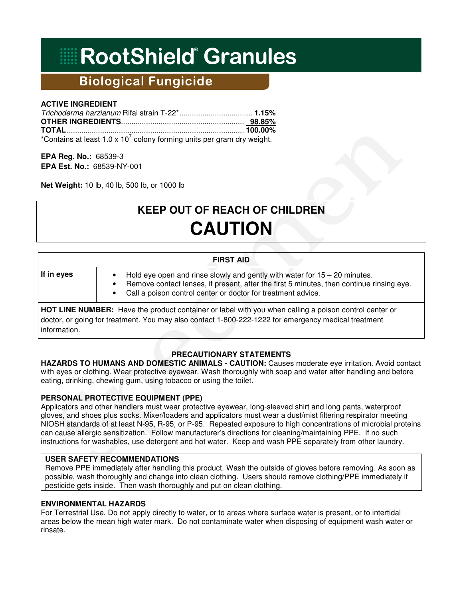# **RootShield Granules**

### **Biological Fungicide**

#### **ACTIVE INGREDIENT**

| *Contains at least 1.0 x $10^7$ colony forming units per gram dry weight. |  |
|---------------------------------------------------------------------------|--|

**EPA Reg. No.:** 68539-3 **EPA Est. No.:** 68539-NY-001

**Net Weight:** 10 lb, 40 lb, 500 lb, or 1000 lb

## **KEEP OUT OF REACH OF CHILDREN CAUTION**

| <b>FIRST AID</b> |                                                                                                                                                                                                                                         |  |  |  |
|------------------|-----------------------------------------------------------------------------------------------------------------------------------------------------------------------------------------------------------------------------------------|--|--|--|
| If in eyes       | Hold eye open and rinse slowly and gently with water for $15 - 20$ minutes.<br>Remove contact lenses, if present, after the first 5 minutes, then continue rinsing eye.<br>Call a poison control center or doctor for treatment advice. |  |  |  |
|                  |                                                                                                                                                                                                                                         |  |  |  |

**HOT LINE NUMBER:** Have the product container or label with you when calling a poison control center or doctor, or going for treatment. You may also contact 1-800-222-1222 for emergency medical treatment information.

#### **PRECAUTIONARY STATEMENTS**

**HAZARDS TO HUMANS AND DOMESTIC ANIMALS - CAUTION:** Causes moderate eye irritation. Avoid contact with eyes or clothing. Wear protective eyewear. Wash thoroughly with soap and water after handling and before eating, drinking, chewing gum, using tobacco or using the toilet.

#### **PERSONAL PROTECTIVE EQUIPMENT (PPE)**

Applicators and other handlers must wear protective eyewear, long-sleeved shirt and long pants, waterproof gloves, and shoes plus socks. Mixer/loaders and applicators must wear a dust/mist filtering respirator meeting NIOSH standards of at least N-95, R-95, or P-95. Repeated exposure to high concentrations of microbial proteins can cause allergic sensitization. Follow manufacturer's directions for cleaning/maintaining PPE. If no such instructions for washables, use detergent and hot water. Keep and wash PPE separately from other laundry.

#### **USER SAFETY RECOMMENDATIONS**

Remove PPE immediately after handling this product. Wash the outside of gloves before removing. As soon as possible, wash thoroughly and change into clean clothing. Users should remove clothing/PPE immediately if pesticide gets inside. Then wash thoroughly and put on clean clothing.

#### **ENVIRONMENTAL HAZARDS**

For Terrestrial Use. Do not apply directly to water, or to areas where surface water is present, or to intertidal areas below the mean high water mark. Do not contaminate water when disposing of equipment wash water or rinsate.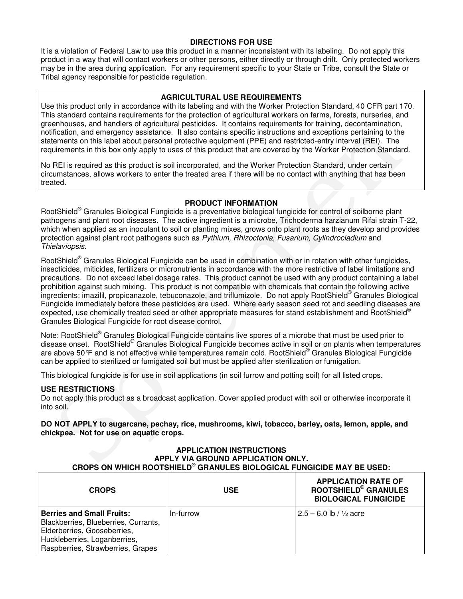#### **DIRECTIONS FOR USE**

It is a violation of Federal Law to use this product in a manner inconsistent with its labeling. Do not apply this product in a way that will contact workers or other persons, either directly or through drift. Only protected workers may be in the area during application. For any requirement specific to your State or Tribe, consult the State or Tribal agency responsible for pesticide regulation.

#### **AGRICULTURAL USE REQUIREMENTS**

Use this product only in accordance with its labeling and with the Worker Protection Standard, 40 CFR part 170. This standard contains requirements for the protection of agricultural workers on farms, forests, nurseries, and greenhouses, and handlers of agricultural pesticides. It contains requirements for training, decontamination, notification, and emergency assistance. It also contains specific instructions and exceptions pertaining to the statements on this label about personal protective equipment (PPE) and restricted-entry interval (REI). The requirements in this box only apply to uses of this product that are covered by the Worker Protection Standard.

No REI is required as this product is soil incorporated, and the Worker Protection Standard, under certain circumstances, allows workers to enter the treated area if there will be no contact with anything that has been treated.

#### **PRODUCT INFORMATION**

RootShield<sup>®</sup> Granules Biological Fungicide is a preventative biological fungicide for control of soilborne plant pathogens and plant root diseases. The active ingredient is a microbe, Trichoderma harzianum Rifai strain T-22, which when applied as an inoculant to soil or planting mixes, grows onto plant roots as they develop and provides protection against plant root pathogens such as Pythium, Rhizoctonia, Fusarium, Cylindrocladium and Thielaviopsis.

RootShield® Granules Biological Fungicide can be used in combination with or in rotation with other fungicides, insecticides, miticides, fertilizers or micronutrients in accordance with the more restrictive of label limitations and precautions. Do not exceed label dosage rates. This product cannot be used with any product containing a label prohibition against such mixing. This product is not compatible with chemicals that contain the following active ingredients: imazilil, propicanazole, tebuconazole, and triflumizole. Do not apply RootShield® Granules Biological Fungicide immediately before these pesticides are used. Where early season seed rot and seedling diseases are expected, use chemically treated seed or other appropriate measures for stand establishment and RootShield® Granules Biological Fungicide for root disease control.

Note: RootShield® Granules Biological Fungicide contains live spores of a microbe that must be used prior to disease onset. RootShield® Granules Biological Fungicide becomes active in soil or on plants when temperatures are above 50°F and is not effective while temperatures remain cold. RootShield® Granules Biological Fungicide can be applied to sterilized or fumigated soil but must be applied after sterilization or fumigation.

This biological fungicide is for use in soil applications (in soil furrow and potting soil) for all listed crops.

#### **USE RESTRICTIONS**

Do not apply this product as a broadcast application. Cover applied product with soil or otherwise incorporate it into soil.

**DO NOT APPLY to sugarcane, pechay, rice, mushrooms, kiwi, tobacco, barley, oats, lemon, apple, and chickpea. Not for use on aquatic crops.** 

#### **APPLICATION INSTRUCTIONS APPLY VIA GROUND APPLICATION ONLY. CROPS ON WHICH ROOTSHIELD® GRANULES BIOLOGICAL FUNGICIDE MAY BE USED:**

| <b>CROPS</b>                                                                                                                                                                 | <b>USE</b> | <b>APPLICATION RATE OF</b><br>ROOTSHIELD <sup>®</sup> GRANULES<br><b>BIOLOGICAL FUNGICIDE</b> |
|------------------------------------------------------------------------------------------------------------------------------------------------------------------------------|------------|-----------------------------------------------------------------------------------------------|
| <b>Berries and Small Fruits:</b><br>Blackberries, Blueberries, Currants,<br>Elderberries, Gooseberries,<br>Huckleberries, Loganberries,<br>Raspberries, Strawberries, Grapes | In-furrow  | ⊧2.5 – 6.0 lb / ½ acre                                                                        |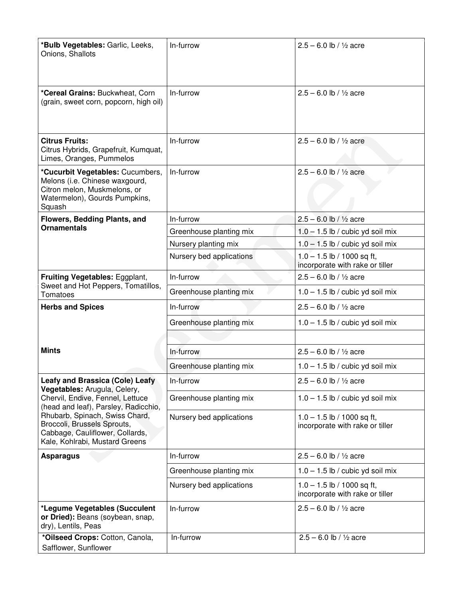| *Bulb Vegetables: Garlic, Leeks,<br>Onions, Shallots                                                                                                                                                                                           | In-furrow                | $2.5 - 6.0$ lb / $\frac{1}{2}$ acre                             |
|------------------------------------------------------------------------------------------------------------------------------------------------------------------------------------------------------------------------------------------------|--------------------------|-----------------------------------------------------------------|
| *Cereal Grains: Buckwheat, Corn<br>(grain, sweet corn, popcorn, high oil)                                                                                                                                                                      | In-furrow                | $2.5 - 6.0$ lb / 1/2 acre                                       |
| <b>Citrus Fruits:</b><br>Citrus Hybrids, Grapefruit, Kumquat,<br>Limes, Oranges, Pummelos                                                                                                                                                      | In-furrow                | $2.5 - 6.0$ lb / $\frac{1}{2}$ acre                             |
| *Cucurbit Vegetables: Cucumbers,<br>Melons (i.e. Chinese waxgourd,<br>Citron melon, Muskmelons, or<br>Watermelon), Gourds Pumpkins,<br>Squash                                                                                                  | In-furrow                | $2.5 - 6.0$ lb / $\frac{1}{2}$ acre                             |
| Flowers, Bedding Plants, and                                                                                                                                                                                                                   | In-furrow                | $2.5 - 6.0$ lb / $\frac{1}{2}$ acre                             |
| <b>Ornamentals</b>                                                                                                                                                                                                                             | Greenhouse planting mix  | $1.0 - 1.5$ lb / cubic yd soil mix                              |
|                                                                                                                                                                                                                                                | Nursery planting mix     | $1.0 - 1.5$ lb / cubic yd soil mix                              |
|                                                                                                                                                                                                                                                | Nursery bed applications | $1.0 - 1.5$ lb / 1000 sq ft,<br>incorporate with rake or tiller |
| Fruiting Vegetables: Eggplant,                                                                                                                                                                                                                 | In-furrow                | $2.5 - 6.0$ lb / $\frac{1}{2}$ acre                             |
| Sweet and Hot Peppers, Tomatillos,<br>Tomatoes                                                                                                                                                                                                 | Greenhouse planting mix  | $1.0 - 1.5$ lb / cubic yd soil mix                              |
| <b>Herbs and Spices</b>                                                                                                                                                                                                                        | In-furrow                | $2.5 - 6.0$ lb / $\frac{1}{2}$ acre                             |
|                                                                                                                                                                                                                                                | Greenhouse planting mix  | $1.0 - 1.5$ lb / cubic yd soil mix                              |
|                                                                                                                                                                                                                                                |                          |                                                                 |
| <b>Mints</b>                                                                                                                                                                                                                                   | In-furrow                | $2.5 - 6.0$ lb / 1/2 acre                                       |
|                                                                                                                                                                                                                                                | Greenhouse planting mix  | $1.0 - 1.5$ lb / cubic yd soil mix                              |
| <b>Leafy and Brassica (Cole) Leafy</b>                                                                                                                                                                                                         | In-furrow                | $2.5 - 6.0$ lb / $\frac{1}{2}$ acre                             |
| Vegetables: Arugula, Celery,<br>Chervil, Endive, Fennel, Lettuce<br>(head and leaf), Parsley, Radicchio,<br>Rhubarb, Spinach, Swiss Chard,<br>Broccoli, Brussels Sprouts,<br>Cabbage, Cauliflower, Collards,<br>Kale, Kohlrabi, Mustard Greens | Greenhouse planting mix  | $1.0 - 1.5$ lb / cubic yd soil mix                              |
|                                                                                                                                                                                                                                                | Nursery bed applications | $1.0 - 1.5$ lb / 1000 sq ft,<br>incorporate with rake or tiller |
| <b>Asparagus</b>                                                                                                                                                                                                                               | In-furrow                | $2.5 - 6.0$ lb / $\frac{1}{2}$ acre                             |
|                                                                                                                                                                                                                                                | Greenhouse planting mix  | $1.0 - 1.5$ lb / cubic yd soil mix                              |
|                                                                                                                                                                                                                                                | Nursery bed applications | $1.0 - 1.5$ lb / 1000 sq ft,<br>incorporate with rake or tiller |
| *Legume Vegetables (Succulent<br>or Dried): Beans (soybean, snap,<br>dry), Lentils, Peas                                                                                                                                                       | In-furrow                | $2.5 - 6.0$ lb / $\frac{1}{2}$ acre                             |
| *Oilseed Crops: Cotton, Canola,<br>Safflower, Sunflower                                                                                                                                                                                        | In-furrow                | $2.5 - 6.0$ lb / $\frac{1}{2}$ acre                             |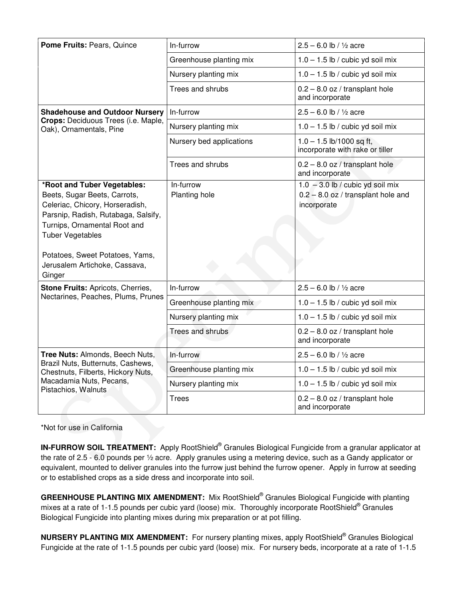| Pome Fruits: Pears, Quince                                                                                                                                                                                                                                                     | In-furrow                  | $2.5 - 6.0$ lb / $\frac{1}{2}$ acre                                                       |
|--------------------------------------------------------------------------------------------------------------------------------------------------------------------------------------------------------------------------------------------------------------------------------|----------------------------|-------------------------------------------------------------------------------------------|
|                                                                                                                                                                                                                                                                                | Greenhouse planting mix    | $1.0 - 1.5$ lb / cubic yd soil mix                                                        |
|                                                                                                                                                                                                                                                                                | Nursery planting mix       | $1.0 - 1.5$ lb / cubic yd soil mix                                                        |
|                                                                                                                                                                                                                                                                                | Trees and shrubs           | $0.2 - 8.0$ oz / transplant hole<br>and incorporate                                       |
| <b>Shadehouse and Outdoor Nursery</b>                                                                                                                                                                                                                                          | In-furrow                  | $2.5 - 6.0$ lb / 1/2 acre                                                                 |
| Crops: Deciduous Trees (i.e. Maple,<br>Oak), Ornamentals, Pine                                                                                                                                                                                                                 | Nursery planting mix       | $1.0 - 1.5$ lb / cubic yd soil mix                                                        |
|                                                                                                                                                                                                                                                                                | Nursery bed applications   | $1.0 - 1.5$ lb/1000 sq ft,<br>incorporate with rake or tiller                             |
|                                                                                                                                                                                                                                                                                | Trees and shrubs           | $0.2 - 8.0$ oz / transplant hole<br>and incorporate                                       |
| *Root and Tuber Vegetables:<br>Beets, Sugar Beets, Carrots,<br>Celeriac, Chicory, Horseradish,<br>Parsnip, Radish, Rutabaga, Salsify,<br>Turnips, Ornamental Root and<br><b>Tuber Vegetables</b><br>Potatoes, Sweet Potatoes, Yams,<br>Jerusalem Artichoke, Cassava,<br>Ginger | In-furrow<br>Planting hole | $1.0 - 3.0$ lb / cubic yd soil mix<br>$0.2 - 8.0$ oz / transplant hole and<br>incorporate |
| Stone Fruits: Apricots, Cherries,<br>Nectarines, Peaches, Plums, Prunes                                                                                                                                                                                                        | In-furrow                  | $2.5 - 6.0$ lb / $\frac{1}{2}$ acre                                                       |
|                                                                                                                                                                                                                                                                                | Greenhouse planting mix    | $1.0 - 1.5$ lb / cubic yd soil mix                                                        |
|                                                                                                                                                                                                                                                                                | Nursery planting mix       | $1.0 - 1.5$ lb / cubic yd soil mix                                                        |
|                                                                                                                                                                                                                                                                                | Trees and shrubs           | $0.2 - 8.0$ oz / transplant hole<br>and incorporate                                       |
| Tree Nuts: Almonds, Beech Nuts,                                                                                                                                                                                                                                                | In-furrow                  | $2.5 - 6.0$ lb / $\frac{1}{2}$ acre                                                       |
| Brazil Nuts, Butternuts, Cashews,<br>Chestnuts, Filberts, Hickory Nuts,<br>Macadamia Nuts, Pecans,<br>Pistachios, Walnuts                                                                                                                                                      | Greenhouse planting mix    | $1.0 - 1.5$ lb / cubic yd soil mix                                                        |
|                                                                                                                                                                                                                                                                                | Nursery planting mix       | $1.0 - 1.5$ lb / cubic yd soil mix                                                        |
|                                                                                                                                                                                                                                                                                | <b>Trees</b>               | $0.2 - 8.0$ oz / transplant hole<br>and incorporate                                       |

\*Not for use in California

IN-FURROW SOIL TREATMENT: Apply RootShield® Granules Biological Fungicide from a granular applicator at the rate of 2.5 - 6.0 pounds per ½ acre. Apply granules using a metering device, such as a Gandy applicator or equivalent, mounted to deliver granules into the furrow just behind the furrow opener. Apply in furrow at seeding or to established crops as a side dress and incorporate into soil.

GREENHOUSE PLANTING MIX AMENDMENT: Mix RootShield® Granules Biological Fungicide with planting mixes at a rate of 1-1.5 pounds per cubic yard (loose) mix. Thoroughly incorporate RootShield® Granules Biological Fungicide into planting mixes during mix preparation or at pot filling.

**NURSERY PLANTING MIX AMENDMENT:** For nursery planting mixes, apply RootShield® Granules Biological Fungicide at the rate of 1-1.5 pounds per cubic yard (loose) mix. For nursery beds, incorporate at a rate of 1-1.5